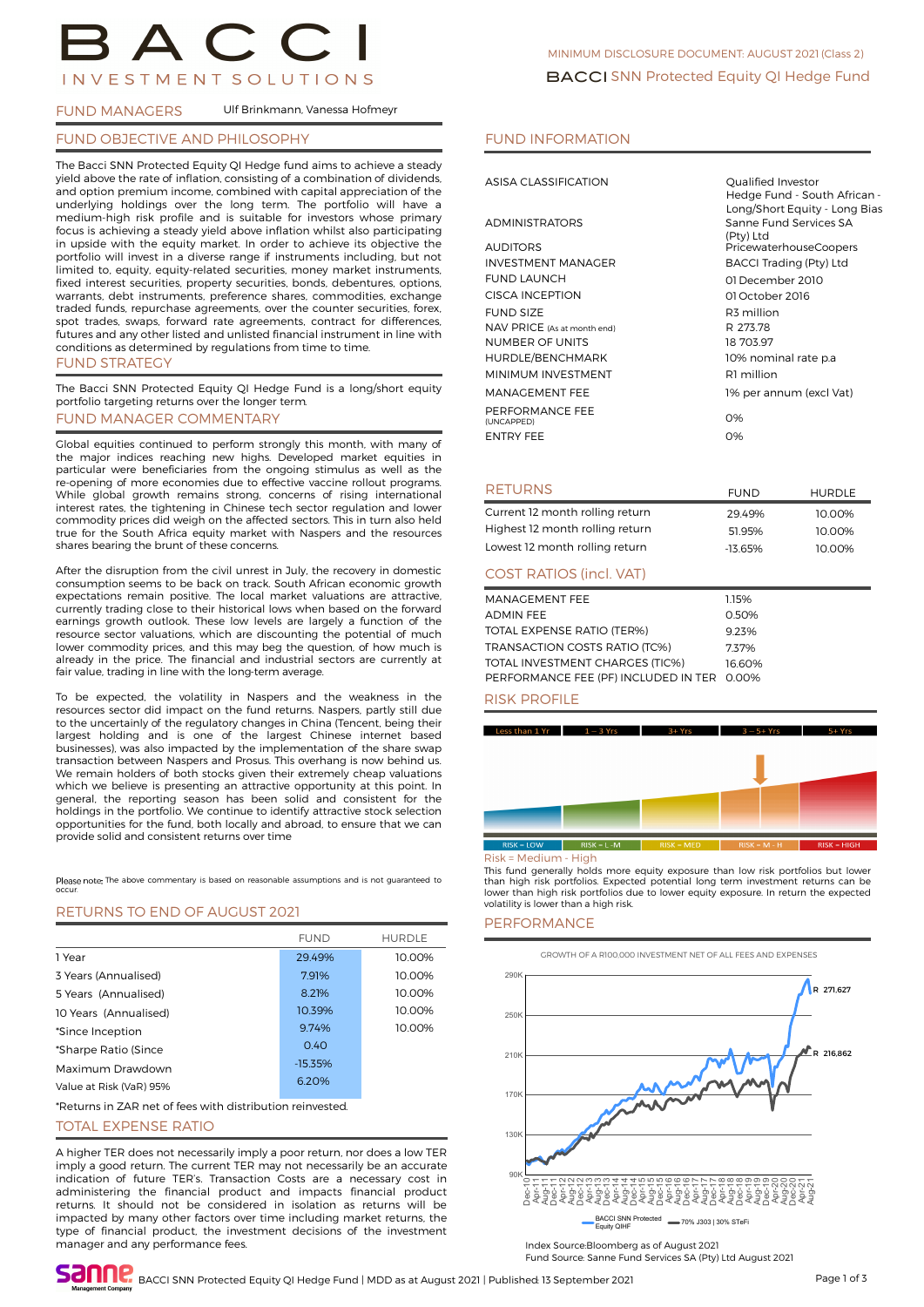# **INVESTMENT SOLUTIONS**

#### FUND MANAGERS Ulf Brinkmann, Vanessa Hofmeyr

#### FUND OBJECTIVE AND PHILOSOPHY

The Bacci SNN Protected Equity QI Hedge fund aims to achieve a steady yield above the rate of inflation, consisting of a combination of dividends, and option premium income, combined with capital appreciation of the underlying holdings over the long term. The portfolio will have a medium-high risk profile and is suitable for investors whose primary focus is achieving a steady yield above inflation whilst also participating in upside with the equity market. In order to achieve its objective the portfolio will invest in a diverse range if instruments including, but not limited to, equity, equity-related securities, money market instruments, fixed interest securities, property securities, bonds, debentures, options, warrants, debt instruments, preference shares, commodities, exchange traded funds, repurchase agreements, over the counter securities, forex, spot trades, swaps, forward rate agreements, contract for differences, futures and any other listed and unlisted financial instrument in line with conditions as determined by regulations from time to time. FUND STRATEGY

The Bacci SNN Protected Equity QI Hedge Fund is a long/short equity portfolio targeting returns over the longer term.

## FUND MANAGER COMMENTARY

Global equities continued to perform strongly this month, with many of the major indices reaching new highs. Developed market equities in particular were beneficiaries from the ongoing stimulus as well as the re-opening of more economies due to effective vaccine rollout programs. While global growth remains strong, concerns of rising international interest rates, the tightening in Chinese tech sector regulation and lower commodity prices did weigh on the affected sectors. This in turn also held true for the South Africa equity market with Naspers and the resources shares bearing the brunt of these concerns.

After the disruption from the civil unrest in July, the recovery in domestic consumption seems to be back on track. South African economic growth expectations remain positive. The local market valuations are attractive, currently trading close to their historical lows when based on the forward earnings growth outlook. These low levels are largely a function of the resource sector valuations, which are discounting the potential of much lower commodity prices, and this may beg the question, of how much is already in the price. The financial and industrial sectors are currently at fair value, trading in line with the long-term average.

To be expected, the volatility in Naspers and the weakness in the resources sector did impact on the fund returns. Naspers, partly still due to the uncertainly of the regulatory changes in China (Tencent, being their largest holding and is one of the largest Chinese internet based businesses), was also impacted by the implementation of the share swap transaction between Naspers and Prosus. This overhang is now behind us. We remain holders of both stocks given their extremely cheap valuations which we believe is presenting an attractive opportunity at this point. In general, the reporting season has been solid and consistent for the holdings in the portfolio. We continue to identify attractive stock selection opportunities for the fund, both locally and abroad, to ensure that we can provide solid and consistent returns over time

Please note The above commentary is based on reasonable assumptions and is not quaranteed to occur.

#### RETURNS TO END OF AUGUST 2021

|                         | <b>FUND</b> | <b>HURDLE</b> |
|-------------------------|-------------|---------------|
| 1 Year                  | 29.49%      | 10.00%        |
| 3 Years (Annualised)    | 7.91%       | 10.00%        |
| 5 Years (Annualised)    | 8.21%       | 10.00%        |
| 10 Years (Annualised)   | 10.39%      | 10.00%        |
| *Since Inception        | 9.74%       | 10.00%        |
| *Sharpe Ratio (Since    | 0.40        |               |
| Maximum Drawdown        | $-15.35%$   |               |
| Value at Risk (VaR) 95% | 6.20%       |               |

\*Returns in ZAR net of fees with distribution reinvested.

#### TOTAL EXPENSE RATIO

A higher TER does not necessarily imply a poor return, nor does a low TER imply a good return. The current TER may not necessarily be an accurate indication of future TER's. Transaction Costs are a necessary cost in administering the financial product and impacts financial product returns. It should not be considered in isolation as returns will be impacted by many other factors over time including market returns, the type of financial product, the investment decisions of the investment manager and any performance fees.

#### FUND INFORMATION

| ASISA CLASSIFICATION          | Qualified Investor<br>Hedge Fund - South African -<br>Long/Short Equity - Long Bias |
|-------------------------------|-------------------------------------------------------------------------------------|
| <b>ADMINISTRATORS</b>         | Sanne Fund Services SA<br>(Pty) Ltd                                                 |
| <b>AUDITORS</b>               | PricewaterhouseCoopers                                                              |
| <b>INVESTMENT MANAGER</b>     | BACCI Trading (Pty) Ltd                                                             |
| <b>FUND LAUNCH</b>            | 01 December 2010                                                                    |
| CISCA INCEPTION               | 01 October 2016                                                                     |
| <b>FUND SIZE</b>              | R3 million                                                                          |
| NAV PRICE (As at month end)   | R 273.78                                                                            |
| <b>NUMBER OF UNITS</b>        | 18 703.97                                                                           |
| HURDLE/BENCHMARK              | 10% nominal rate p.a                                                                |
| MINIMUM INVESTMENT            | R1 million                                                                          |
| MANAGEMENT FEE                | 1% per annum (excl Vat)                                                             |
| PERFORMANCE FEE<br>(UNCAPPED) | 0%                                                                                  |
| <b>ENTRY FEE</b>              | 0%                                                                                  |
|                               |                                                                                     |

#### RETURNS

| Current 12 month rolling return | 29.49%    | 10.00% |
|---------------------------------|-----------|--------|
| Highest 12 month rolling return | 51.95%    | 10.00% |
| Lowest 12 month rolling return  | $-13.65%$ | 10.00% |
| <b>COST RATIOS (incl. VAT)</b>  |           |        |

FUND HURDLE

| MANAGEMENT FEE                             | 1.15%  |
|--------------------------------------------|--------|
| <b>ADMIN FEE</b>                           | 0.50%  |
| TOTAL EXPENSE RATIO (TER%)                 | 9.23%  |
| <b>TRANSACTION COSTS RATIO (TC%)</b>       | 737%   |
| TOTAL INVESTMENT CHARGES (TIC%)            | 16.60% |
| PERFORMANCE FEE (PF) INCLUDED IN TER 0.00% |        |

#### RISK PROFILE



#### Risk = Medium - High

This fund generally holds more equity exposure than low risk portfolios but lower than high risk portfolios. Expected potential long term investment returns can be lower than high risk portfolios due to lower equity exposure. In return the expected volatility is lower than a high risk.

#### **PERFORMANCE**



Index Source:Bloomberg as of August 2021 Fund Source: Sanne Fund Services SA (Pty) Ltd August 2021

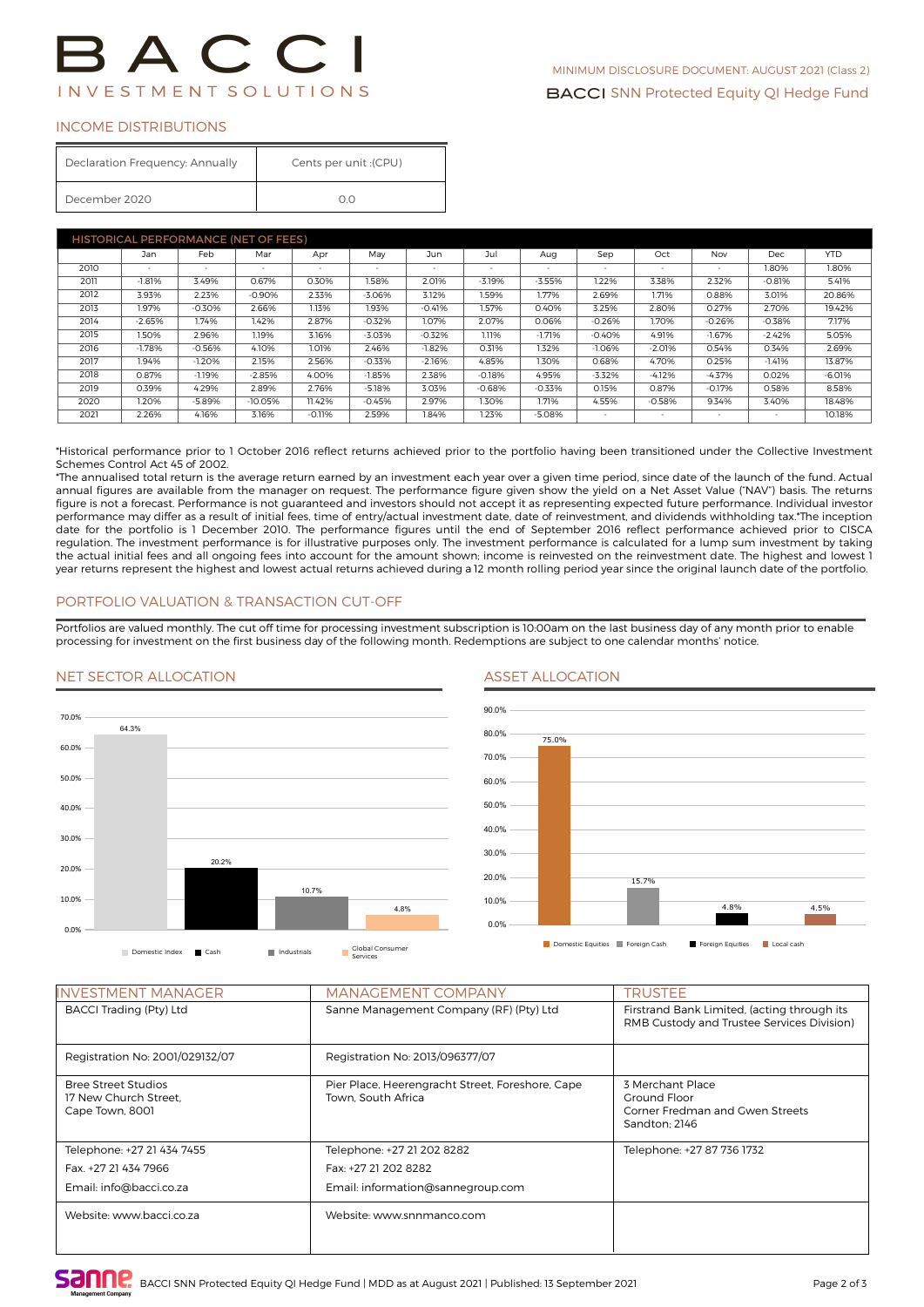#### INCOME DISTRIBUTIONS

| Declaration Frequency: Annually | (CPU): Cents per unit |  |  |
|---------------------------------|-----------------------|--|--|
| December 2020                   | Ωn                    |  |  |

| <b>HISTORICAL PERFORMANCE (NET OF FEES)</b> |          |          |           |                          |          |          |          |                          |                          |          |          |            |            |
|---------------------------------------------|----------|----------|-----------|--------------------------|----------|----------|----------|--------------------------|--------------------------|----------|----------|------------|------------|
|                                             | Jan      | Feb      | Mar       | Apr                      | May      | Jun      | Jul      | Aug                      | Sep                      | Oct      | Nov      | <b>Dec</b> | <b>YTD</b> |
| 2010                                        | $\sim$   |          |           | $\overline{\phantom{a}}$ | $\sim$   | ۰.       | $\sim$   | $\overline{\phantom{a}}$ | $\overline{\phantom{a}}$ | $\sim$   |          | 1.80%      | 1.80%      |
| 2011                                        | $-1.81%$ | 3.49%    | 0.67%     | 0.30%                    | 1.58%    | 2.01%    | $-3.19%$ | $-3.55%$                 | 1.22%                    | 3.38%    | 2.32%    | $-0.81%$   | 5.41%      |
| 2012                                        | 3.93%    | 2.23%    | $-0.90%$  | 2.33%                    | $-3.06%$ | 3.12%    | 1.59%    | 1.77%                    | 2.69%                    | 1.71%    | 0.88%    | 3.01%      | 20.86%     |
| 2013                                        | 1.97%    | $-0.30%$ | 2.66%     | 1.13%                    | 1.93%    | $-0.41%$ | 1.57%    | 0.40%                    | 3.25%                    | 2.80%    | 0.27%    | 2.70%      | 19.42%     |
| 2014                                        | $-2.65%$ | 1.74%    | 1.42%     | 2.87%                    | $-0.32%$ | 1.07%    | 2.07%    | 0.06%                    | $-0.26%$                 | 1.70%    | $-0.26%$ | $-0.38%$   | 7.17%      |
| 2015                                        | 1.50%    | 2.96%    | 1.19%     | 3.16%                    | $-3.03%$ | $-0.32%$ | 1.11%    | $-1.71%$                 | $-0.40%$                 | 4.91%    | $-1.67%$ | $-2.42%$   | 5.05%      |
| 2016                                        | $-1.78%$ | $-0.56%$ | 4.10%     | 1.01%                    | 2.46%    | $-1.82%$ | 0.31%    | 1.32%                    | $-1.06%$                 | $-2.01%$ | 0.54%    | 0.34%      | 2.69%      |
| 2017                                        | 1.94%    | $-1.20%$ | 2.15%     | 2.56%                    | $-0.33%$ | $-2.16%$ | 4.85%    | 1.30%                    | 0.68%                    | 4.70%    | 0.25%    | $-1.41%$   | 13.87%     |
| 2018                                        | 0.87%    | $-1.19%$ | $-2.85%$  | 4.00%                    | $-1.85%$ | 2.38%    | $-0.18%$ | 4.95%                    | $-3.32%$                 | $-4.12%$ | $-4.37%$ | 0.02%      | $-6.01%$   |
| 2019                                        | 0.39%    | 4.29%    | 2.89%     | 2.76%                    | $-5.18%$ | 3.03%    | $-0.68%$ | $-0.33%$                 | 0.15%                    | 0.87%    | $-0.17%$ | 0.58%      | 8.58%      |
| 2020                                        | 1.20%    | $-5.89%$ | $-10.05%$ | 11.42%                   | $-0.45%$ | 2.97%    | 1.30%    | 1.71%                    | 4.55%                    | $-0.58%$ | 9.34%    | 3.40%      | 18.48%     |
| 2021                                        | 2.26%    | 4.16%    | 3.16%     | $-0.11%$                 | 2.59%    | 1.84%    | 1.23%    | $-5.08%$                 | $\sim$                   | $\sim$   |          | ۰          | 10.18%     |

\*Historical performance prior to 1 October 2016 reflect returns achieved prior to the portfolio having been transitioned under the Collective Investment Schemes Control Act 45 of 2002.

\*The annualised total return is the average return earned by an investment each year over a given time period, since date of the launch of the fund. Actual annual figures are available from the manager on request. The performance figure given show the yield on a Net Asset Value ("NAV") basis. The returns figure is not a forecast. Performance is not guaranteed and investors should not accept it as representing expected future performance. Individual investor performance may differ as a result of initial fees, time of entry/actual investment date, date of reinvestment, and dividends withholding tax.\*The inception date for the portfolio is 1 December 2010. The performance figures until the end of September 2016 reflect performance achieved prior to CISCA regulation. The investment performance is for illustrative purposes only. The investment performance is calculated for a lump sum investment by taking the actual initial fees and all ongoing fees into account for the amount shown; income is reinvested on the reinvestment date. The highest and lowest 1 year returns represent the highest and lowest actual returns achieved during a 12 month rolling period year since the original launch date of the portfolio.

### PORTFOLIO VALUATION & TRANSACTION CUT-OFF

Portfolios are valued monthly. The cut off time for processing investment subscription is 10:00am on the last business day of any month prior to enable processing for investment on the first business day of the following month. Redemptions are subject to one calendar months' notice.

#### NET SECTOR ALLOCATION ASSET ALLOCATION





| <b>INVESTMENT MANAGER</b>                                                     | <b>MANAGEMENT COMPANY</b>                                                               | <b>TRUSTEE</b>                                                                            |
|-------------------------------------------------------------------------------|-----------------------------------------------------------------------------------------|-------------------------------------------------------------------------------------------|
| <b>BACCI Trading (Pty) Ltd</b>                                                | Sanne Management Company (RF) (Pty) Ltd                                                 | Firstrand Bank Limited, (acting through its<br>RMB Custody and Trustee Services Division) |
| Registration No: 2001/029132/07                                               | Registration No: 2013/096377/07                                                         |                                                                                           |
| <b>Bree Street Studios</b><br>17 New Church Street.<br>Cape Town, 8001        | Pier Place, Heerengracht Street, Foreshore, Cape<br>Town, South Africa                  | 3 Merchant Place<br>Ground Floor<br>Corner Fredman and Gwen Streets<br>Sandton: 2146      |
| Telephone: +27 21 434 7455<br>Fax. +27 21 434 7966<br>Email: info@bacci.co.za | Telephone: +27 21 202 8282<br>Fax: +27 21 202 8282<br>Email: information@sannegroup.com | Telephone: +27 87 736 1732                                                                |
| Website: www.bacci.co.za                                                      | Website: www.snnmanco.com                                                               |                                                                                           |